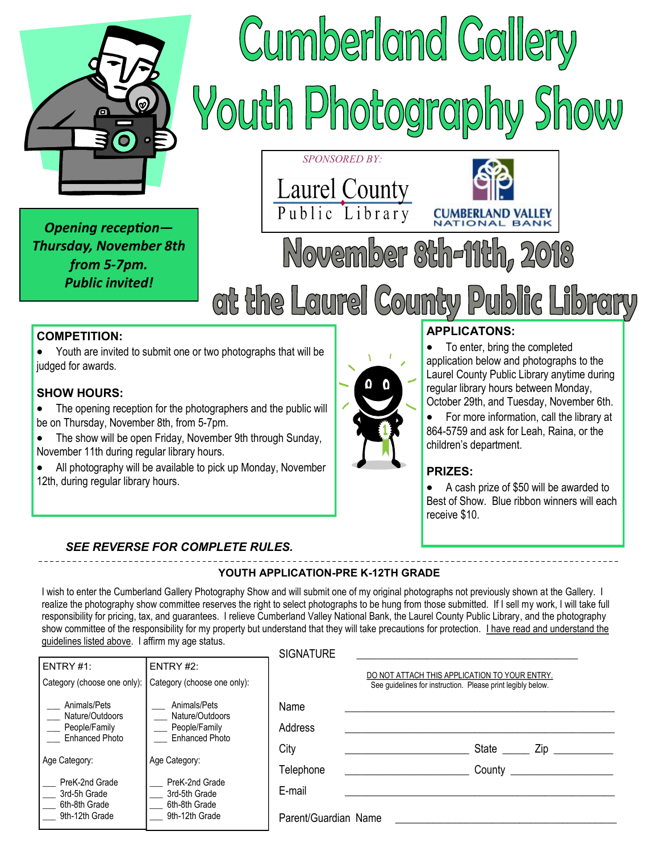

*Opening reception— Thursday, November 8th from 5-7pm. Public invited!*





### **COMPETITION:**

 Youth are invited to submit one or two photographs that will be judged for awards.

#### **SHOW HOURS:**

- The opening reception for the photographers and the public will be on Thursday, November 8th, from 5-7pm.
- The show will be open Friday, November 9th through Sunday, November 11th during regular library hours.
- All photography will be available to pick up Monday, November 12th, during regular library hours.

#### **APPLICATONS:**

**CUMBERI** 

• To enter, bring the completed application below and photographs to the Laurel County Public Library anytime during regular library hours between Monday, October 29th, and Tuesday, November 6th.

**JD VALLEY** 

 For more information, call the library at 864-5759 and ask for Leah, Raina, or the children's department.

#### **PRIZES:**

 A cash prize of \$50 will be awarded to Best of Show. Blue ribbon winners will each receive \$10.

#### *SEE REVERSE FOR COMPLETE RULES.*

#### **YOUTH APPLICATION-PRE K-12TH GRADE**

I wish to enter the Cumberland Gallery Photography Show and will submit one of my original photographs not previously shown at the Gallery. I realize the photography show committee reserves the right to select photographs to be hung from those submitted. If I sell my work, I will take full responsibility for pricing, tax, and guarantees. I relieve Cumberland Valley National Bank, the Laurel County Public Library, and the photography show committee of the responsibility for my property but understand that they will take precautions for protection. I have read and understand the guidelines listed above. I affirm my age status.

|                                                                           |                                                                                                       | <b>SIGNATURE</b>     |                                                                                                              |
|---------------------------------------------------------------------------|-------------------------------------------------------------------------------------------------------|----------------------|--------------------------------------------------------------------------------------------------------------|
| ENTRY #1:                                                                 | ENTRY #2:                                                                                             |                      |                                                                                                              |
| Category (choose one only):                                               | Category (choose one only):                                                                           |                      | DO NOT ATTACH THIS APPLICATION TO YOUR ENTRY.<br>See quidelines for instruction. Please print legibly below. |
| Animals/Pets<br>Nature/Outdoors<br>People/Family<br><b>Enhanced Photo</b> | Animals/Pets<br>Nature/Outdoors<br>People/Family<br><b>Enhanced Photo</b>                             | Name<br>Address      |                                                                                                              |
|                                                                           | City<br>Age Category:<br>PreK-2nd Grade<br>E-mail<br>3rd-5th Grade<br>6th-8th Grade<br>9th-12th Grade |                      | State<br>Zip                                                                                                 |
| Age Category:<br>PreK-2nd Grade<br>3rd-5h Grade<br>6th-8th Grade          |                                                                                                       | Telephone            | County                                                                                                       |
| 9th-12th Grade                                                            |                                                                                                       | Parent/Guardian Name |                                                                                                              |